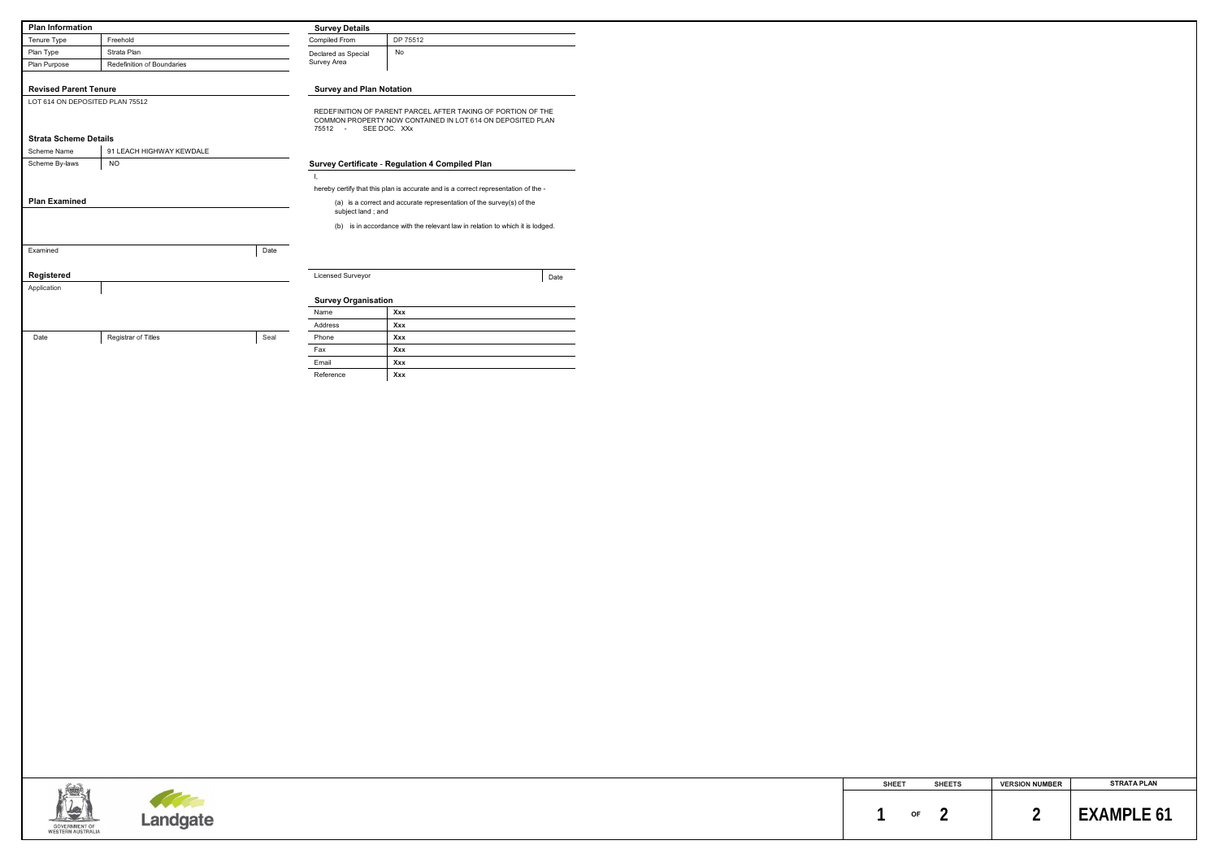| <b>Plan Information</b>            |                            |      | <b>Survey Details</b>              |                                                                                    |      |
|------------------------------------|----------------------------|------|------------------------------------|------------------------------------------------------------------------------------|------|
| Tenure Type                        | Freehold                   |      | Compiled From                      | DP 75512                                                                           |      |
| Plan Type                          | Strata Plan                |      | Declared as Special<br>Survey Area | No                                                                                 |      |
| Plan Purpose                       | Redefinition of Boundaries |      |                                    |                                                                                    |      |
| <b>Revised Parent Tenure</b>       |                            |      |                                    |                                                                                    |      |
| LOT 614 ON DEPOSITED PLAN 75512    |                            |      | <b>Survey and Plan Notation</b>    |                                                                                    |      |
|                                    |                            |      |                                    | REDEFINITION OF PARENT PARCEL AFTER TAKING OF PORTION OF THE                       |      |
|                                    |                            |      |                                    | COMMON PROPERTY NOW CONTAINED IN LOT 614 ON DEPOSITED PLAN                         |      |
| <b>Strata Scheme Details</b>       |                            |      | 75512 - SEE DOC. XXx               |                                                                                    |      |
| Scheme Name                        | 91 LEACH HIGHWAY KEWDALE   |      |                                    |                                                                                    |      |
| Scheme By-laws                     | <b>NO</b>                  |      |                                    | Survey Certificate - Regulation 4 Compiled Plan                                    |      |
|                                    |                            |      | $\mathbf{I}_{\mathbf{r}}$          |                                                                                    |      |
|                                    |                            |      |                                    | hereby certify that this plan is accurate and is a correct representation of the - |      |
| <b>Plan Examined</b>               |                            |      |                                    | (a) is a correct and accurate representation of the survey(s) of the               |      |
|                                    |                            |      | subject land; and                  |                                                                                    |      |
|                                    |                            |      |                                    | (b) is in accordance with the relevant law in relation to which it is lodged.      |      |
|                                    |                            |      |                                    |                                                                                    |      |
| Examined                           |                            | Date |                                    |                                                                                    |      |
|                                    |                            |      |                                    |                                                                                    |      |
| Registered                         |                            |      | Licensed Surveyor                  |                                                                                    | Date |
| Application                        |                            |      |                                    |                                                                                    |      |
|                                    |                            |      | <b>Survey Organisation</b>         |                                                                                    |      |
|                                    |                            |      | Name                               | Xxx                                                                                |      |
|                                    |                            |      | Address                            | Xxx                                                                                |      |
| Date                               | Registrar of Titles        | Seal | Phone                              | Xxx                                                                                |      |
|                                    |                            |      | Fax                                | Xxx                                                                                |      |
|                                    |                            |      | Email                              | Xxx                                                                                |      |
|                                    |                            |      | Reference                          | Xxx                                                                                |      |
|                                    |                            |      |                                    |                                                                                    |      |
|                                    |                            |      |                                    |                                                                                    |      |
|                                    |                            |      |                                    |                                                                                    |      |
|                                    |                            |      |                                    |                                                                                    |      |
|                                    |                            |      |                                    |                                                                                    |      |
|                                    |                            |      |                                    |                                                                                    |      |
|                                    |                            |      |                                    |                                                                                    |      |
|                                    |                            |      |                                    |                                                                                    |      |
|                                    |                            |      |                                    |                                                                                    |      |
|                                    |                            |      |                                    |                                                                                    |      |
|                                    |                            |      |                                    |                                                                                    |      |
|                                    |                            |      |                                    |                                                                                    |      |
|                                    |                            |      |                                    |                                                                                    |      |
|                                    |                            |      |                                    |                                                                                    |      |
|                                    |                            |      |                                    |                                                                                    |      |
|                                    |                            |      |                                    |                                                                                    |      |
|                                    |                            |      |                                    |                                                                                    |      |
|                                    |                            |      |                                    |                                                                                    |      |
|                                    |                            |      |                                    |                                                                                    |      |
|                                    |                            |      |                                    |                                                                                    |      |
|                                    |                            |      |                                    |                                                                                    |      |
|                                    |                            |      |                                    |                                                                                    |      |
|                                    |                            |      |                                    |                                                                                    |      |
|                                    |                            |      |                                    |                                                                                    |      |
|                                    |                            |      |                                    |                                                                                    |      |
|                                    |                            |      |                                    |                                                                                    |      |
|                                    |                            |      |                                    |                                                                                    |      |
|                                    |                            |      |                                    |                                                                                    |      |
|                                    |                            |      |                                    |                                                                                    |      |
|                                    |                            |      |                                    |                                                                                    |      |
|                                    |                            |      |                                    |                                                                                    |      |
|                                    |                            |      |                                    |                                                                                    |      |
|                                    |                            |      |                                    |                                                                                    |      |
|                                    | Landgate                   |      |                                    |                                                                                    |      |
|                                    |                            |      |                                    |                                                                                    |      |
| GOVERNMENT OF<br>WESTERN AUSTRALIA |                            |      |                                    |                                                                                    |      |

| <b>SHEET</b> |    | <b>SHEETS</b> | <b>VERSION NUMBER</b> | <b>STRATA PLAN</b> |
|--------------|----|---------------|-----------------------|--------------------|
|              | OF |               |                       | <b>FXAMPLE 61</b>  |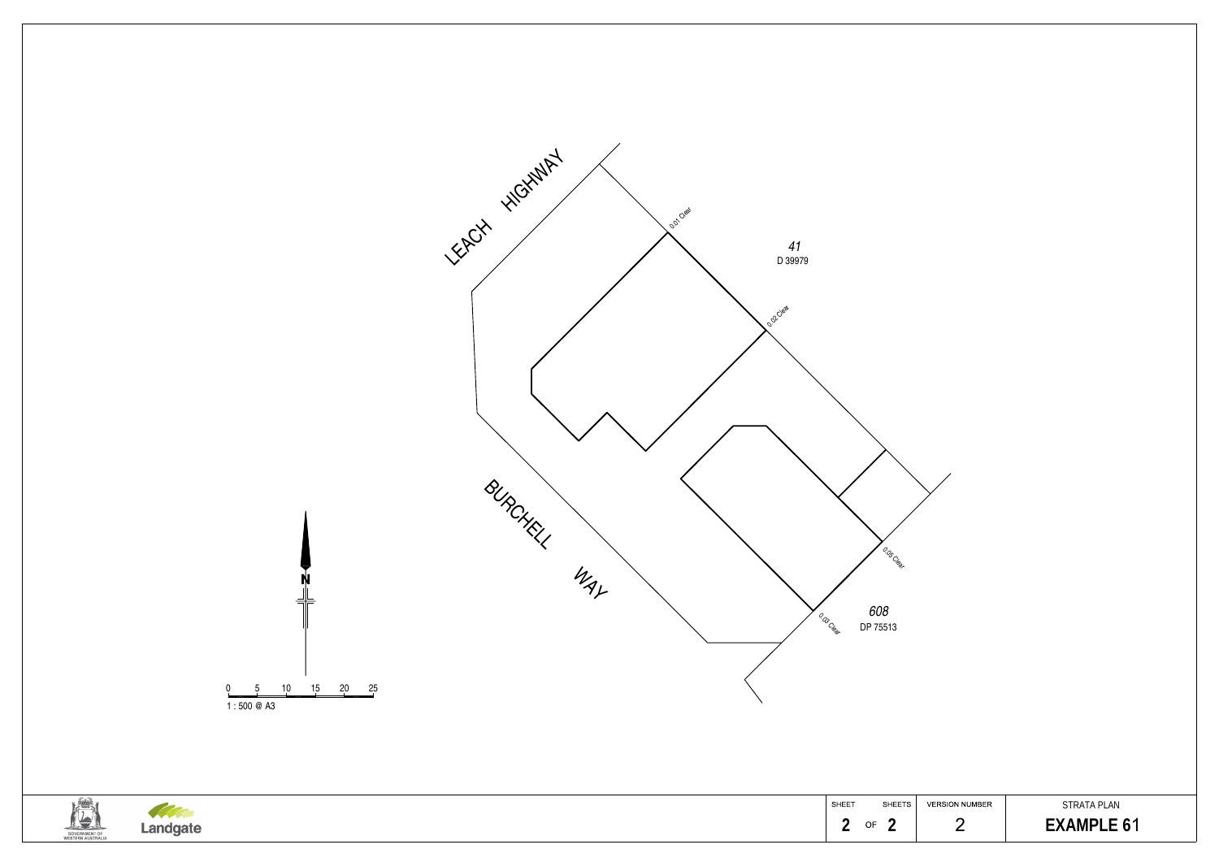

## STRATA PLAN  **2 2** 2 **EXAMPLE 6**1

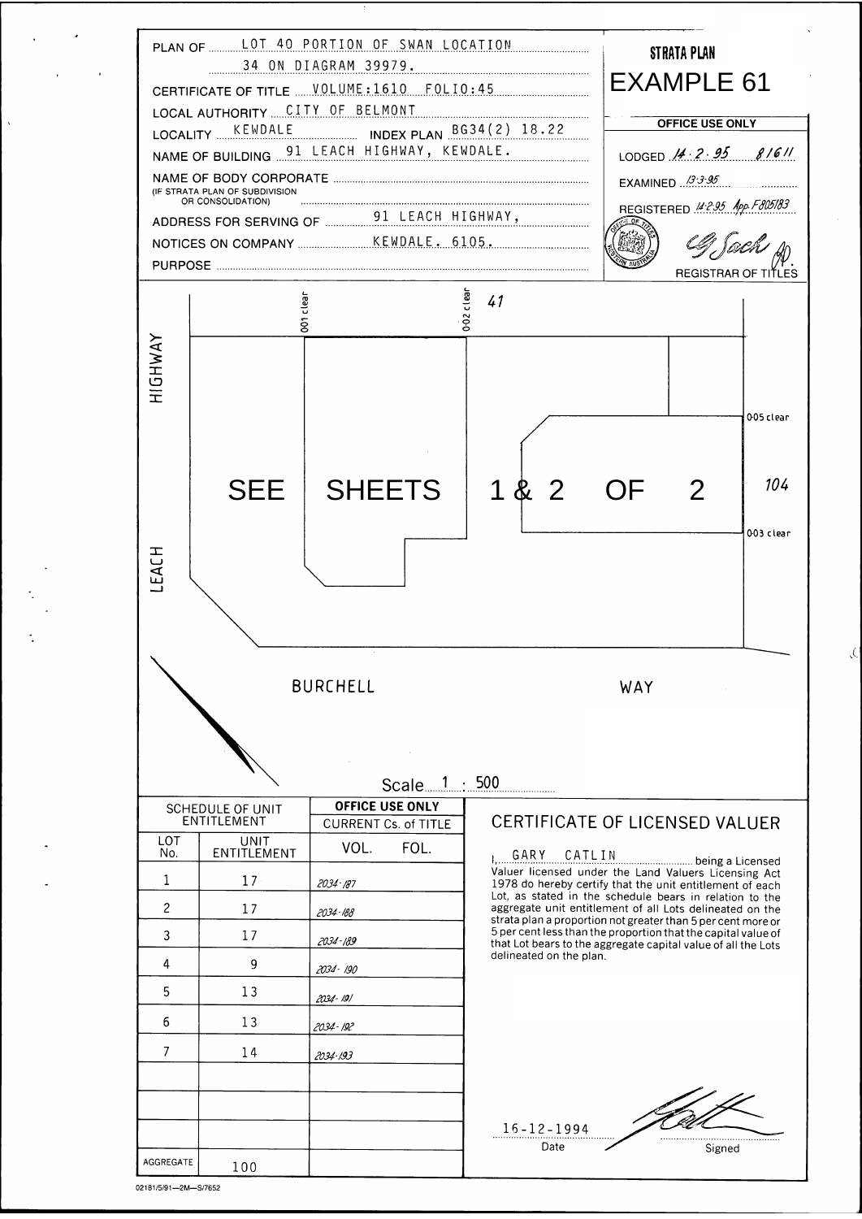

| $\mathbf{3}$   | 17  | 2034-189     | 5 per cent less than the prop<br>that Lot bears to the aggrega |
|----------------|-----|--------------|----------------------------------------------------------------|
| $\overline{4}$ | 9   | 2034 - 190   | delineated on the plan.                                        |
| 5              | 13  | 2034-191     |                                                                |
| $6\phantom{1}$ | 13  | $2034 - 192$ |                                                                |
|                | 14  | 2034-193     |                                                                |
|                |     |              |                                                                |
|                |     |              | $16 - 12 - 1994$                                               |
|                |     |              | Date                                                           |
| AGGREGATE      | 100 |              |                                                                |

ortion that the capital value of ate capital value of all the Lots

Signed

 $\mathcal{L}$ 

02181/5/91-2M-S/7652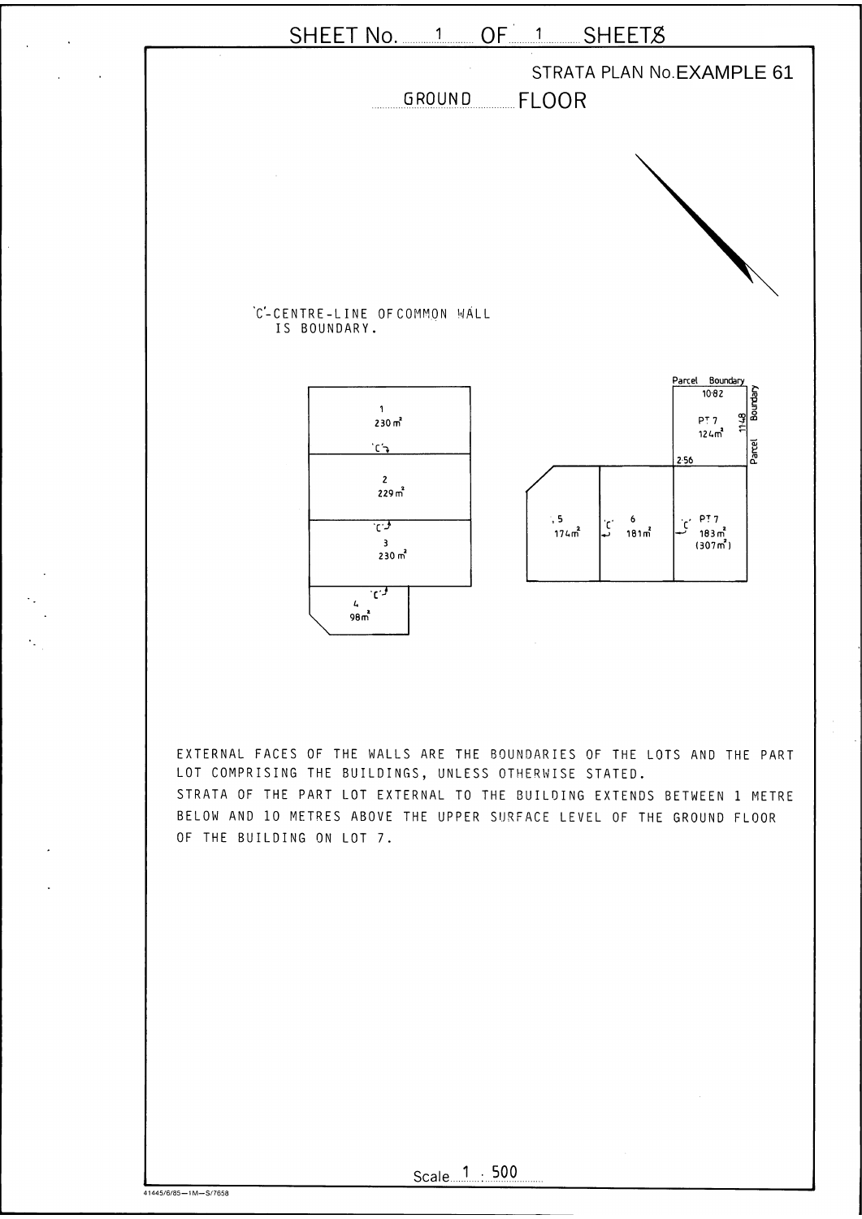

EXTERNAL FACES OF THE WALLS ARE THE BOUNDARIES OF THE LOTS AND THE PART LOT COMPRISING THE BUILDINGS, UNLESS OTHERWISE STATED. STRATA OF THE PART LOT EXTERNAL TO THE BUILDING EXTENDS BETWEEN 1 METRE BELOW AND 10 METRES ABOVE THE UPPER SURFACE LEVEL OF THE GROUND FLOOR OF THE BUILDING ON LOT 7.



41445/6/85-1M-S/7658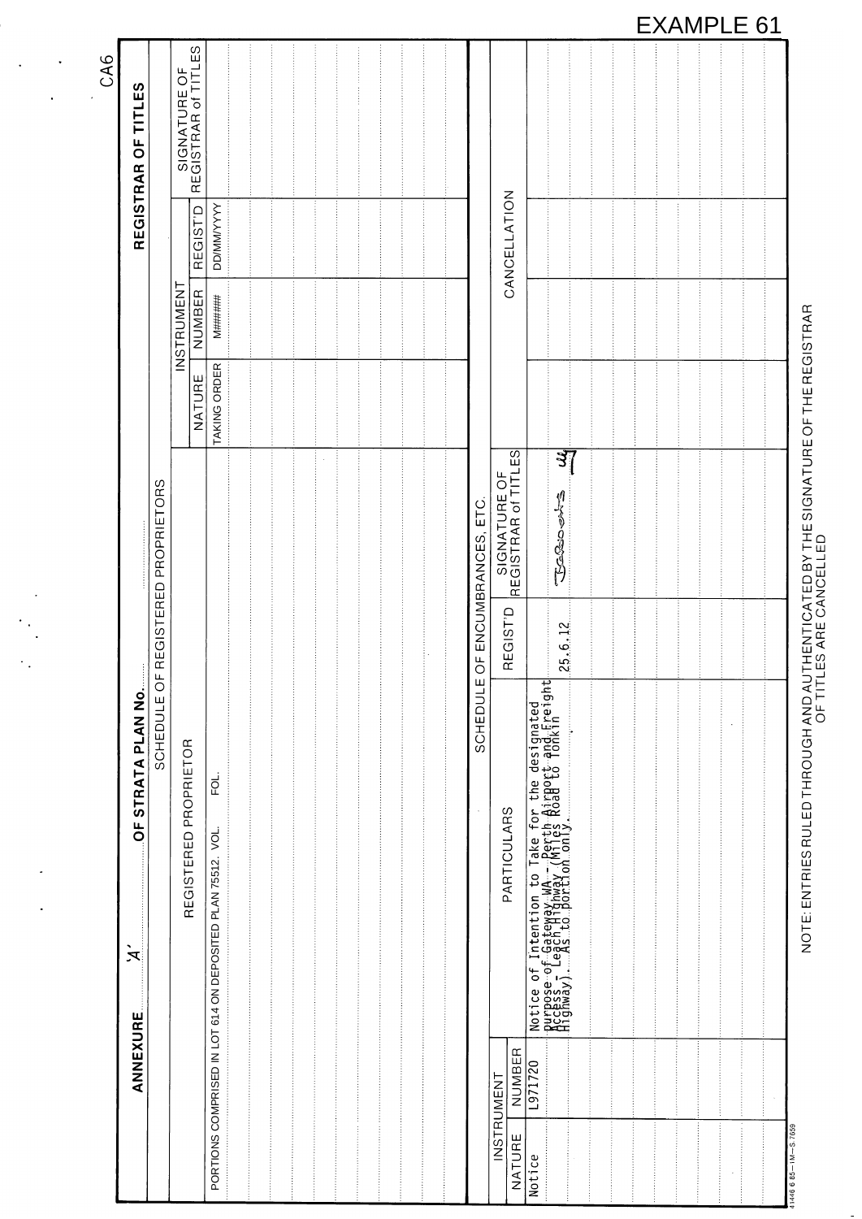| CA6<br>TITLES<br>$\overline{0}$                                                                           |                            | SIGNATURE OF<br>REGISTRAR of TITL | ΕS                  |                                                                    |  |  |  |                      |                                                              |                                                                                                                                                                                                           |  |  |  |  |
|-----------------------------------------------------------------------------------------------------------|----------------------------|-----------------------------------|---------------------|--------------------------------------------------------------------|--|--|--|----------------------|--------------------------------------------------------------|-----------------------------------------------------------------------------------------------------------------------------------------------------------------------------------------------------------|--|--|--|--|
| REGISTRAR                                                                                                 |                            |                                   | REGIST <sup>D</sup> | <b>DD/MM/YYYYY</b>                                                 |  |  |  |                      | CANCELLATION                                                 |                                                                                                                                                                                                           |  |  |  |  |
|                                                                                                           |                            | INSTRUMENT                        | NUMBER              | <b>M######</b>                                                     |  |  |  |                      |                                                              |                                                                                                                                                                                                           |  |  |  |  |
|                                                                                                           |                            |                                   | NATURE              | TAKING ORDER                                                       |  |  |  |                      |                                                              |                                                                                                                                                                                                           |  |  |  |  |
|                                                                                                           | <b>ORS</b><br>PROPRIET     |                                   |                     |                                                                    |  |  |  | ETC.<br>ENCUMBRANCES | $-ES$<br>$\overline{O}$<br>SIGNATURE OF<br>REGISTRAR of TITI | $3\overline{1}$<br>小小<br><b>SSSSS</b>                                                                                                                                                                     |  |  |  |  |
|                                                                                                           | REGISTERED                 |                                   |                     |                                                                    |  |  |  | $\overline{O}$       | REGIST'D                                                     | 25.6.12                                                                                                                                                                                                   |  |  |  |  |
| $\blacksquare$<br>STRATA PLAN NO<br>$\overline{0}$<br>$\blacktriangledown$<br>$\mathcal{F}_{\mathcal{L}}$ | $\overline{O}$<br>SCHEDULE | REGISTERED PROPRIETOR             |                     | FQ.<br>VOL.<br>PLAN 75512.<br>614 ON DEPOSITED<br>$\overline{1}$ O |  |  |  | SCHEDULE             | PARTICULARS                                                  | Intention to Take for the designated<br>f-Gateway-WA---Perth-Airport-and-Ereight<br>-each Highway (Miles Road to Tonkin<br>--As to portion conly.<br>Notice of In<br>Purpose of Le<br>Piccess<br>Highway) |  |  |  |  |
| <b>ANNEXURE</b>                                                                                           |                            |                                   |                     | PORTIONS COMPRISED IN                                              |  |  |  |                      | NUMBER<br>INSTRUMENT                                         | 1971720                                                                                                                                                                                                   |  |  |  |  |
|                                                                                                           |                            |                                   |                     |                                                                    |  |  |  |                      | NATURE                                                       | otice                                                                                                                                                                                                     |  |  |  |  |

E: ENTRIES RULED THROUGH AND AUTHENTICATED BY THE SIGNATURE OF THE REGISTRAR<br>OF TITLES ARE CANCELLED

## **EXAMPLE 61**

 $\ddot{\phantom{a}}$ 

 $\hat{\mathbf{r}}$ 

 $\ddot{\phantom{0}}$ 

 $\ddot{\phantom{a}}$  .

 $\ddot{\phantom{a}}$ 

 $\bullet$ 

 $\ddot{\phantom{a}}$ 

## $41446685 - 1M - S.7659$

| $\ddot{\phantom{1}}$<br>$\mathbf{x}$ |  | <b>DEPOSITED</b><br>614 ON |  |  |  |  |                                              |                                 | Notice of Inten<br>Purpose of Gate<br>Access – Leach<br>Anay, As.t |  |  |  |  |
|--------------------------------------|--|----------------------------|--|--|--|--|----------------------------------------------|---------------------------------|--------------------------------------------------------------------|--|--|--|--|
| ANNEXURE                             |  | <b>IDTN</b><br>COMPRISED   |  |  |  |  | Œ<br>Щ<br>МB<br>INSTRUMENT<br>$\overline{z}$ | $\overline{0}$<br>↽<br>r<br> თ  |                                                                    |  |  |  |  |
|                                      |  | <b>PORTIONS</b>            |  |  |  |  | $R_{E}$<br>Ξ<br>⊢<br>⋖<br>Ź                  | Φ<br>$\circ$<br><b>—</b><br>Not |                                                                    |  |  |  |  |